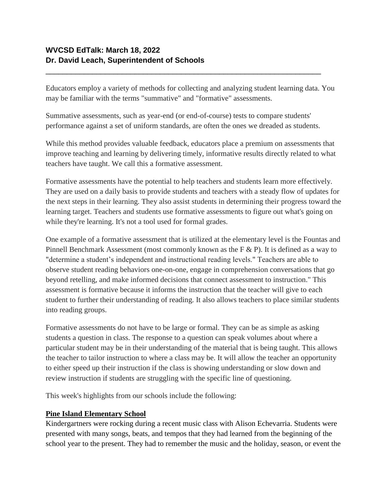# **WVCSD EdTalk: March 18, 2022 Dr. David Leach, Superintendent of Schools**

Educators employ a variety of methods for collecting and analyzing student learning data. You may be familiar with the terms "summative" and "formative" assessments.

Summative assessments, such as year-end (or end-of-course) tests to compare students' performance against a set of uniform standards, are often the ones we dreaded as students.

\_\_\_\_\_\_\_\_\_\_\_\_\_\_\_\_\_\_\_\_\_\_\_\_\_\_\_\_\_\_\_\_\_\_\_\_\_\_\_\_\_\_\_\_\_\_\_\_\_\_\_\_\_\_\_\_\_\_\_\_\_\_\_\_\_

While this method provides valuable feedback, educators place a premium on assessments that improve teaching and learning by delivering timely, informative results directly related to what teachers have taught. We call this a formative assessment.

Formative assessments have the potential to help teachers and students learn more effectively. They are used on a daily basis to provide students and teachers with a steady flow of updates for the next steps in their learning. They also assist students in determining their progress toward the learning target. Teachers and students use formative assessments to figure out what's going on while they're learning. It's not a tool used for formal grades.

One example of a formative assessment that is utilized at the elementary level is the Fountas and Pinnell Benchmark Assessment (most commonly known as the F & P). It is defined as a way to "determine a student's independent and instructional reading levels." Teachers are able to observe student reading behaviors one-on-one, engage in comprehension conversations that go beyond retelling, and make informed decisions that connect assessment to instruction." This assessment is formative because it informs the instruction that the teacher will give to each student to further their understanding of reading. It also allows teachers to place similar students into reading groups.

Formative assessments do not have to be large or formal. They can be as simple as asking students a question in class. The response to a question can speak volumes about where a particular student may be in their understanding of the material that is being taught. This allows the teacher to tailor instruction to where a class may be. It will allow the teacher an opportunity to either speed up their instruction if the class is showing understanding or slow down and review instruction if students are struggling with the specific line of questioning.

This week's highlights from our schools include the following:

## **Pine Island Elementary School**

Kindergartners were rocking during a recent music class with Alison Echevarria. Students were presented with many songs, beats, and tempos that they had learned from the beginning of the school year to the present. They had to remember the music and the holiday, season, or event the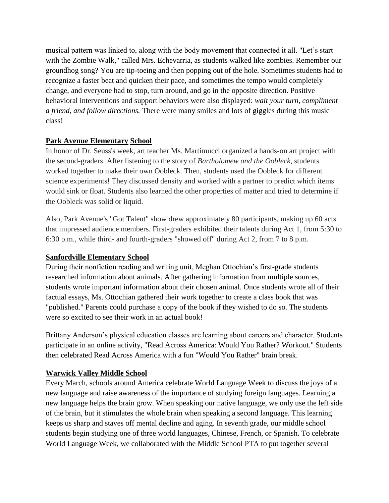musical pattern was linked to, along with the body movement that connected it all. "Let's start with the Zombie Walk," called Mrs. Echevarria, as students walked like zombies. Remember our groundhog song? You are tip-toeing and then popping out of the hole. Sometimes students had to recognize a faster beat and quicken their pace, and sometimes the tempo would completely change, and everyone had to stop, turn around, and go in the opposite direction. Positive behavioral interventions and support behaviors were also displayed: *wait your turn, compliment a friend, and follow directions.* There were many smiles and lots of giggles during this music class!

## **Park Avenue Elementary School**

In honor of Dr. Seuss's week, art teacher Ms. Martimucci organized a hands-on art project with the second-graders. After listening to the story of *Bartholomew and the Oobleck*, students worked together to make their own Oobleck. Then, students used the Oobleck for different science experiments! They discussed density and worked with a partner to predict which items would sink or float. Students also learned the other properties of matter and tried to determine if the Oobleck was solid or liquid.

Also, Park Avenue's "Got Talent" show drew approximately 80 participants, making up 60 acts that impressed audience members. First-graders exhibited their talents during Act 1, from 5:30 to 6:30 p.m., while third- and fourth-graders "showed off" during Act 2, from 7 to 8 p.m.

## **Sanfordville Elementary School**

During their nonfiction reading and writing unit, Meghan Ottochian's first-grade students researched information about animals. After gathering information from multiple sources, students wrote important information about their chosen animal. Once students wrote all of their factual essays, Ms. Ottochian gathered their work together to create a class book that was "published." Parents could purchase a copy of the book if they wished to do so. The students were so excited to see their work in an actual book!

Brittany Anderson's physical education classes are learning about careers and character. Students participate in an online activity, "Read Across America: Would You Rather? Workout." Students then celebrated Read Across America with a fun "Would You Rather" brain break.

## **Warwick Valley Middle School**

Every March, schools around America celebrate World Language Week to discuss the joys of a new language and raise awareness of the importance of studying foreign languages. Learning a new language helps the brain grow. When speaking our native language, we only use the left side of the brain, but it stimulates the whole brain when speaking a second language. This learning keeps us sharp and staves off mental decline and aging. In seventh grade, our middle school students begin studying one of three world languages, Chinese, French, or Spanish. To celebrate World Language Week, we collaborated with the Middle School PTA to put together several